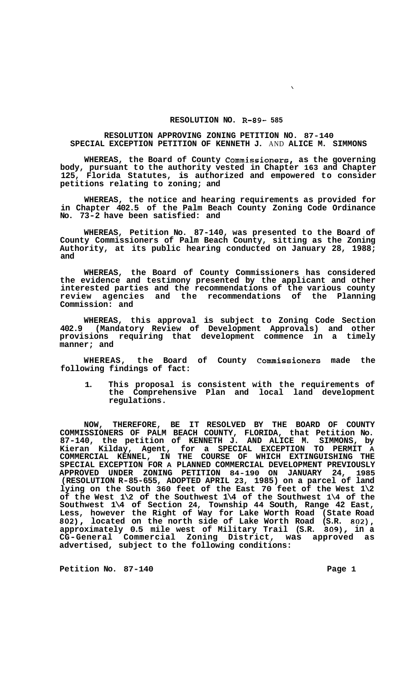## **RESOLUTION NO. R-89- 585**

 $\mathbf{v}$ 

## **RESOLUTION APPROVING ZONING PETITION NO. 87-140 SPECIAL EXCEPTION PETITION OF KENNETH J.** AND **ALICE M. SIMMONS**

**WHEREAS, the Board of County Commissioners, as the governing body, pursuant to the authority vested in Chapter 163 and Chapter 125, Florida Statutes, is authorized and empowered to consider petitions relating to zoning; and** 

**WHEREAS, the notice and hearing requirements as provided for in Chapter 402.5 of the Palm Beach County Zoning Code Ordinance No. 73-2 have been satisfied: and** 

**WHEREAS, Petition No. 87-140, was presented to the Board of County Commissioners of Palm Beach County, sitting as the Zoning Authority, at its public hearing conducted on January 28, 1988; and** 

**WHEREAS, the Board of County Commissioners has considered the evidence and testimony presented by the applicant and other interested parties and the recommendations of the various county review agencies and the recommendations of the Planning Commission: and** 

**WHEREAS, this approval is subject to Zoning Code Section 402.9 (Mandatory Review of Development Approvals) and other provisions requiring that development commence in a timely manner; and** 

**WHEREAS, the Board of County Commissioners made the following findings of fact:** 

**1. This proposal is consistent with the requirements of the Comprehensive Plan and local land development regulations.** 

**NOW, THEREFORE, BE IT RESOLVED BY THE BOARD OF COUNTY COMMISSIONERS OF PALM BEACH COUNTY, FLORIDA, that Petition No. 87-140, the petition of KENNETH J. AND ALICE M. SIMMONS, by Kieran Kilday, Agent, for a SPECIAL EXCEPTION TO PERMIT A COMMERCIAL KENNEL, IN THE COURSE OF WHICH EXTINGUISHING THE SPECIAL EXCEPTION FOR A PLANNED COMMERCIAL DEVELOPMENT PREVIOUSLY APPROVED UNDER ZONING PETITION 84-190 ON JANUARY 24, 1985 (RESOLUTION R-85-655, ADOPTED APRIL 23, 1985) on a parcel of land lying on the South 360 feet of the East 70 feet of the West 1\2 of the West 1\2 of the Southwest 1\4 of the Southwest 1\4 of the Southwest 1\4 of Section 24, Township 44 South, Range 42 East, Less, however the Right of Way for Lake Worth Road (State Road 802), located on the north side of Lake Worth Road (S.R. 802), approximately 0.5 mile west of Military Trail (S.R. 809), in a CG-General Commercial Zoning District, was approved as advertised, subject to the following conditions:** 

**Petition No. 87-140 Page 1**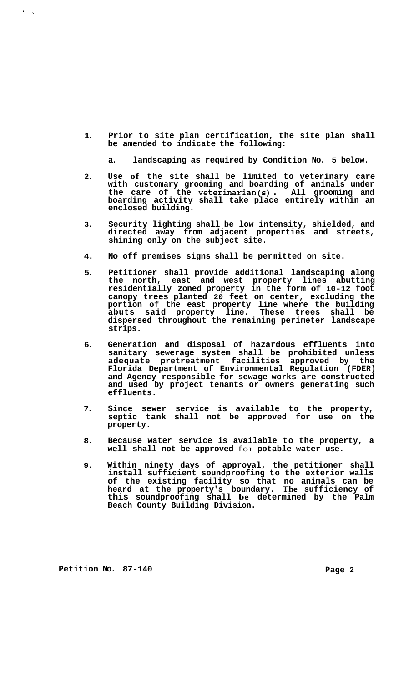**1. Prior to site plan certification, the site plan shall be amended to indicate the following:** 

**a. landscaping as required by Condition No. 5 below.** 

- **2. Use of the site shall be limited to veterinary care with customary grooming and boarding of animals under the care of the veterinarian(s)** . **All grooming and boarding activity shall take place entirely within an enclosed building.**
- **3. Security lighting shall be low intensity, shielded, and directed away from adjacent properties and streets, shining only on the subject site.**
- **4. No off premises signs shall be permitted on site.**
- **5. Petitioner shall provide additional landscaping along the north, east and west property lines abutting residentially zoned property in the form of 10-12 foot canopy trees planted 20 feet on center, excluding the portion of the east property line where the building abuts said property line. These trees shall be dispersed throughout the remaining perimeter landscape strips.**
- **6. Generation and disposal of hazardous effluents into sanitary sewerage system shall be prohibited unless adequate pretreatment facilities approved by the Florida Department of Environmental Regulation (FDER) and Agency responsible for sewage works are constructed and used by project tenants or owners generating such effluents.**
- **7. Since sewer service is available to the property, septic tank shall not be approved for use on the property.**
- **8. Because water service is available to the property, a well shall not be approved** for **potable water use.**
- **9. Within ninety days of approval, the petitioner shall install sufficient soundproofing to the exterior walls of the existing facility so that no animals can be heard at the property's boundary. The sufficiency of this soundproofing shall be determined by the Palm Beach County Building Division.**

Petition No. 87-140 **Page 2 Page 2** 

 $\mathbf{r} = \mathbf{r}$